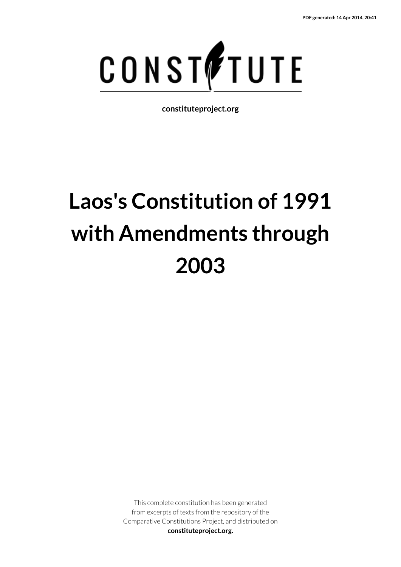

**constituteproject.org**

# **Laos's Constitution of 1991 with Amendments through 2003**

This complete constitution has been generated from excerpts of texts from the repository of the Comparative Constitutions Project, and distributed on **constituteproject.org.**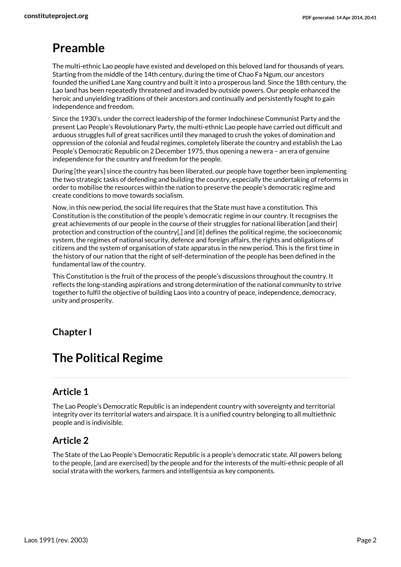# **Preamble**

The multi-ethnic Lao people have existed and developed on this beloved land for thousands of years. Starting from the middle of the 14th century, during the time of Chao Fa Ngum, our ancestors founded the unified Lane Xang country and built it into a prosperous land. Since the 18th century, the Lao land has been repeatedly threatened and invaded by outside powers. Our people enhanced the heroic and unyielding traditions of their ancestors and continually and persistently fought to gain independence and freedom.

Since the 1930's, under the correct leadership of the former Indochinese Communist Party and the present Lao People's Revolutionary Party, the multi-ethnic Lao people have carried out difficult and arduous struggles full of great sacrifices until they managed to crush the yokes of domination and oppression of the colonial and feudal regimes, completely liberate the country and establish the Lao People's Democratic Republic on 2 December 1975, thus opening a new era – an era of genuine independence for the country and freedom for the people.

During [the years] since the country has been liberated, our people have together been implementing the two strategic tasks of defending and building the country, especially the undertaking of reforms in order to mobilise the resources within the nation to preserve the people's democratic regime and create conditions to move towards socialism.

Now, in this new period, the social life requires that the State must have a constitution. This Constitution is the constitution of the people's democratic regime in our country. It recognises the great achievements of our people in the course of their struggles for national liberation [and their] protection and construction of the country[,] and [it] defines the political regime, the socioeconomic system, the regimes of national security, defence and foreign affairs, the rights and obligations of citizens and the system of organisation of state apparatus in the new period. This is the first time in the history of our nation that the right of self-determination of the people has been defined in the fundamental law of the country.

This Constitution is the fruit of the process of the people's discussions throughout the country. It reflects the long-standing aspirations and strong determination of the national community to strive together to fulfil the objective of building Laos into a country of peace, independence, democracy, unity and prosperity.

#### **Chapter I**

# **The Political Regime**

#### **Article 1**

The Lao People's Democratic Republic is an independent country with sovereignty and territorial integrity over its territorial waters and airspace. It is a unified country belonging to all multiethnic people and is indivisible.

#### **Article 2**

The State of the Lao People's Democratic Republic is a people's democratic state. All powers belong to the people, [and are exercised] by the people and for the interests of the multi-ethnic people of all social strata with the workers, farmers and intelligentsia as key components.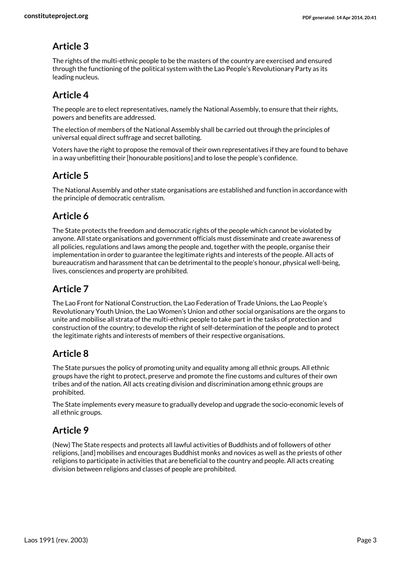The rights of the multi-ethnic people to be the masters of the country are exercised and ensured through the functioning of the political system with the Lao People's Revolutionary Party as its leading nucleus.

# **Article 4**

The people are to elect representatives, namely the National Assembly, to ensure that their rights, powers and benefits are addressed.

The election of members of the National Assembly shall be carried out through the principles of universal equal direct suffrage and secret balloting.

Voters have the right to propose the removal of their own representatives if they are found to behave in a way unbefitting their [honourable positions] and to lose the people's confidence.

# **Article 5**

The National Assembly and other state organisations are established and function in accordance with the principle of democratic centralism.

# **Article 6**

The State protects the freedom and democratic rights of the people which cannot be violated by anyone. All state organisations and government officials must disseminate and create awareness of all policies, regulations and laws among the people and, together with the people, organise their implementation in order to guarantee the legitimate rights and interests of the people. All acts of bureaucratism and harassment that can be detrimental to the people's honour, physical well-being, lives, consciences and property are prohibited.

# **Article 7**

The Lao Front for National Construction, the Lao Federation of Trade Unions, the Lao People's Revolutionary Youth Union, the Lao Women's Union and other social organisations are the organs to unite and mobilise all strata of the multi-ethnic people to take part in the tasks of protection and construction of the country; to develop the right of self-determination of the people and to protect the legitimate rights and interests of members of their respective organisations.

# **Article 8**

The State pursues the policy of promoting unity and equality among all ethnic groups. All ethnic groups have the right to protect, preserve and promote the fine customs and cultures of their own tribes and of the nation. All acts creating division and discrimination among ethnic groups are prohibited.

The State implements every measure to gradually develop and upgrade the socio-economic levels of all ethnic groups.

# **Article 9**

(New) The State respects and protects all lawful activities of Buddhists and of followers of other religions, [and] mobilises and encourages Buddhist monks and novices as well as the priests of other religions to participate in activities that are beneficial to the country and people. All acts creating division between religions and classes of people are prohibited.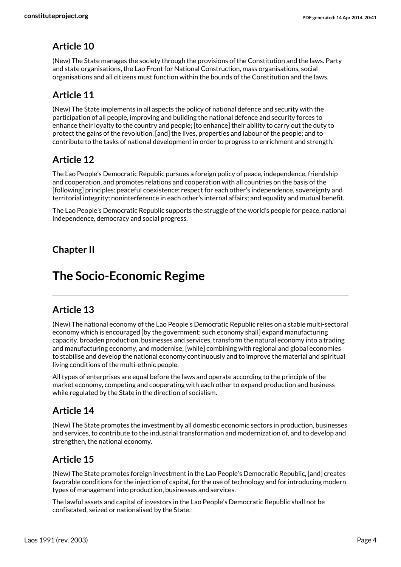(New) The State manages the society through the provisions of the Constitution and the laws. Party and state organisations, the Lao Front for National Construction, mass organisations, social organisations and all citizens must function within the bounds of the Constitution and the laws.

# **Article 11**

(New) The State implements in all aspects the policy of national defence and security with the participation of all people, improving and building the national defence and security forces to enhance their loyalty to the country and people; [to enhance] their ability to carry out the duty to protect the gains of the revolution, [and] the lives, properties and labour of the people; and to contribute to the tasks of national development in order to progress to enrichment and strength.

# **Article 12**

The Lao People's Democratic Republic pursues a foreign policy of peace, independence, friendship and cooperation, and promotes relations and cooperation with all countries on the basis of the [following] principles: peaceful coexistence; respect for each other's independence, sovereignty and territorial integrity; noninterference in each other's internal affairs; and equality and mutual benefit.

The Lao People's Democratic Republic supports the struggle of the world's people for peace, national independence, democracy and social progress.

# **Chapter II**

# **The Socio-Economic Regime**

#### **Article 13**

(New) The national economy of the Lao People's Democratic Republic relies on a stable multi-sectoral economy which is encouraged [by the government; such economy shall] expand manufacturing capacity, broaden production, businesses and services, transform the natural economy into a trading and manufacturing economy, and modernise; [while] combining with regional and global economies to stabilise and develop the national economy continuously and to improve the material and spiritual living conditions of the multi-ethnic people.

All types of enterprises are equal before the laws and operate according to the principle of the market economy, competing and cooperating with each other to expand production and business while regulated by the State in the direction of socialism.

#### **Article 14**

(New) The State promotes the investment by all domestic economic sectors in production, businesses and services, to contribute to the industrial transformation and modernization of, and to develop and strengthen, the national economy.

#### **Article 15**

(New) The State promotes foreign investment in the Lao People's Democratic Republic, [and] creates favorable conditions for the injection of capital, for the use of technology and for introducing modern types of management into production, businesses and services.

The lawful assets and capital of investors in the Lao People's Democratic Republic shall not be confiscated, seized or nationalised by the State.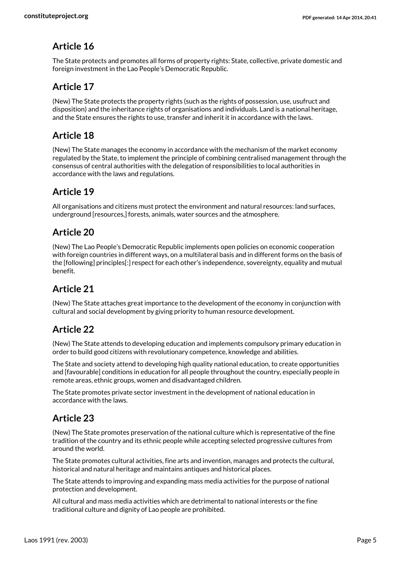The State protects and promotes all forms of property rights: State, collective, private domestic and foreign investment in the Lao People's Democratic Republic.

# **Article 17**

(New) The State protects the property rights (such as the rights of possession, use, usufruct and disposition) and the inheritance rights of organisations and individuals. Land is a national heritage, and the State ensures the rights to use, transfer and inherit it in accordance with the laws.

# **Article 18**

(New) The State manages the economy in accordance with the mechanism of the market economy regulated by the State, to implement the principle of combining centralised management through the consensus of central authorities with the delegation of responsibilities to local authorities in accordance with the laws and regulations.

# **Article 19**

All organisations and citizens must protect the environment and natural resources: land surfaces, underground [resources,] forests, animals, water sources and the atmosphere.

# **Article 20**

(New) The Lao People's Democratic Republic implements open policies on economic cooperation with foreign countries in different ways, on a multilateral basis and in different forms on the basis of the [following] principles[:] respect for each other's independence, sovereignty, equality and mutual benefit.

# **Article 21**

(New) The State attaches great importance to the development of the economy in conjunction with cultural and social development by giving priority to human resource development.

# **Article 22**

(New) The State attends to developing education and implements compulsory primary education in order to build good citizens with revolutionary competence, knowledge and abilities.

The State and society attend to developing high quality national education, to create opportunities and [favourable] conditions in education for all people throughout the country, especially people in remote areas, ethnic groups, women and disadvantaged children.

The State promotes private sector investment in the development of national education in accordance with the laws.

# **Article 23**

(New) The State promotes preservation of the national culture which is representative of the fine tradition of the country and its ethnic people while accepting selected progressive cultures from around the world.

The State promotes cultural activities, fine arts and invention, manages and protects the cultural, historical and natural heritage and maintains antiques and historical places.

The State attends to improving and expanding mass media activities for the purpose of national protection and development.

All cultural and mass media activities which are detrimental to national interests or the fine traditional culture and dignity of Lao people are prohibited.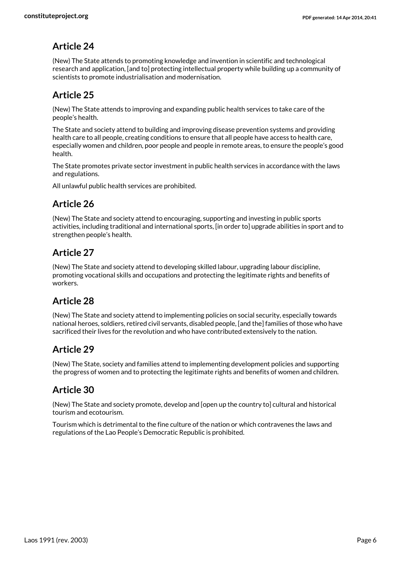(New) The State attends to promoting knowledge and invention in scientific and technological research and application, [and to] protecting intellectual property while building up a community of scientists to promote industrialisation and modernisation.

# **Article 25**

(New) The State attends to improving and expanding public health services to take care of the people's health.

The State and society attend to building and improving disease prevention systems and providing health care to all people, creating conditions to ensure that all people have access to health care, especially women and children, poor people and people in remote areas, to ensure the people's good health.

The State promotes private sector investment in public health services in accordance with the laws and regulations.

All unlawful public health services are prohibited.

# **Article 26**

(New) The State and society attend to encouraging, supporting and investing in public sports activities, including traditional and international sports, [in order to] upgrade abilities in sport and to strengthen people's health.

# **Article 27**

(New) The State and society attend to developing skilled labour, upgrading labour discipline, promoting vocational skills and occupations and protecting the legitimate rights and benefits of workers.

#### **Article 28**

(New) The State and society attend to implementing policies on social security, especially towards national heroes, soldiers, retired civil servants, disabled people, [and the] families of those who have sacrificed their lives for the revolution and who have contributed extensively to the nation.

#### **Article 29**

(New) The State, society and families attend to implementing development policies and supporting the progress of women and to protecting the legitimate rights and benefits of women and children.

#### **Article 30**

(New) The State and society promote, develop and [open up the country to] cultural and historical tourism and ecotourism.

Tourism which is detrimental to the fine culture of the nation or which contravenes the laws and regulations of the Lao People's Democratic Republic is prohibited.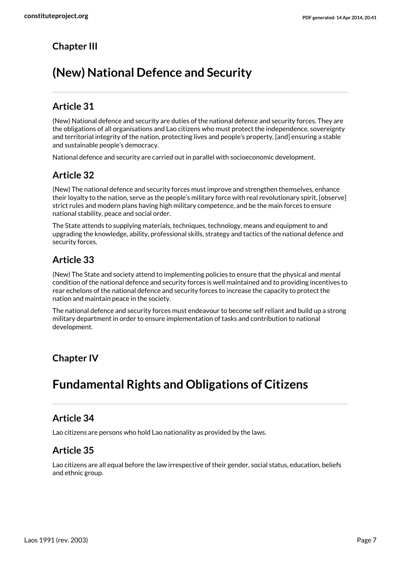# **Chapter III**

# **(New) National Defence and Security**

# **Article 31**

(New) National defence and security are duties of the national defence and security forces. They are the obligations of all organisations and Lao citizens who must protect the independence, sovereignty and territorial integrity of the nation, protecting lives and people's property, [and] ensuring a stable and sustainable people's democracy.

National defence and security are carried out in parallel with socioeconomic development.

# **Article 32**

(New) The national defence and security forces must improve and strengthen themselves, enhance their loyalty to the nation, serve as the people's military force with real revolutionary spirit, [observe] strict rules and modern plans having high military competence, and be the main forces to ensure national stability, peace and social order.

The State attends to supplying materials, techniques, technology, means and equipment to and upgrading the knowledge, ability, professional skills, strategy and tactics of the national defence and security forces.

# **Article 33**

(New) The State and society attend to implementing policies to ensure that the physical and mental condition of the national defence and security forces is well maintained and to providing incentives to rear echelons of the national defence and security forces to increase the capacity to protect the nation and maintain peace in the society.

The national defence and security forces must endeavour to become self reliant and build up a strong military department in order to ensure implementation of tasks and contribution to national development.

# **Chapter IV**

# **Fundamental Rights and Obligations of Citizens**

#### **Article 34**

Lao citizens are persons who hold Lao nationality as provided by the laws.

# **Article 35**

Lao citizens are all equal before the law irrespective of their gender, social status, education, beliefs and ethnic group.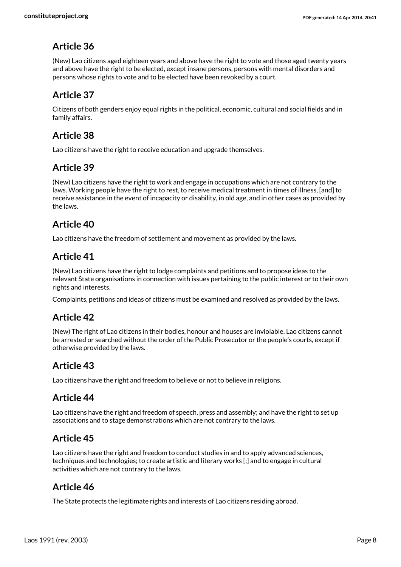(New) Lao citizens aged eighteen years and above have the right to vote and those aged twenty years and above have the right to be elected, except insane persons, persons with mental disorders and persons whose rights to vote and to be elected have been revoked by a court.

# **Article 37**

Citizens of both genders enjoy equal rights in the political, economic, cultural and social fields and in family affairs.

#### **Article 38**

Lao citizens have the right to receive education and upgrade themselves.

#### **Article 39**

(New) Lao citizens have the right to work and engage in occupations which are not contrary to the laws. Working people have the right to rest, to receive medical treatment in times of illness, [and] to receive assistance in the event of incapacity or disability, in old age, and in other cases as provided by the laws.

# **Article 40**

Lao citizens have the freedom of settlement and movement as provided by the laws.

#### **Article 41**

(New) Lao citizens have the right to lodge complaints and petitions and to propose ideas to the relevant State organisations in connection with issues pertaining to the public interest or to their own rights and interests.

Complaints, petitions and ideas of citizens must be examined and resolved as provided by the laws.

#### **Article 42**

(New) The right of Lao citizens in their bodies, honour and houses are inviolable. Lao citizens cannot be arrested or searched without the order of the Public Prosecutor or the people's courts, except if otherwise provided by the laws.

# **Article 43**

Lao citizens have the right and freedom to believe or not to believe in religions.

#### **Article 44**

Lao citizens have the right and freedom of speech, press and assembly; and have the right to set up associations and to stage demonstrations which are not contrary to the laws.

#### **Article 45**

Lao citizens have the right and freedom to conduct studies in and to apply advanced sciences, techniques and technologies; to create artistic and literary works [;] and to engage in cultural activities which are not contrary to the laws.

#### **Article 46**

The State protects the legitimate rights and interests of Lao citizens residing abroad.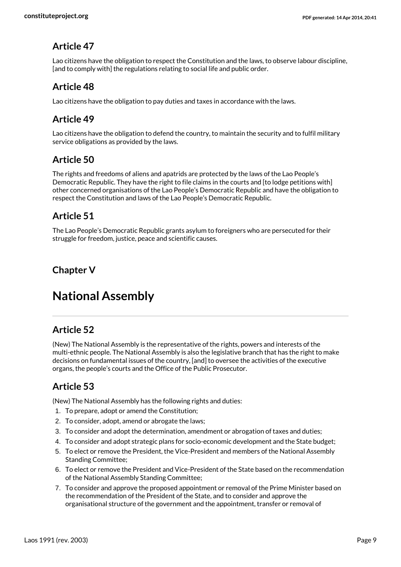Lao citizens have the obligation to respect the Constitution and the laws, to observe labour discipline, [and to comply with] the regulations relating to social life and public order.

#### **Article 48**

Lao citizens have the obligation to pay duties and taxes in accordance with the laws.

#### **Article 49**

Lao citizens have the obligation to defend the country, to maintain the security and to fulfil military service obligations as provided by the laws.

#### **Article 50**

The rights and freedoms of aliens and apatrids are protected by the laws of the Lao People's Democratic Republic. They have the right to file claims in the courts and [to lodge petitions with] other concerned organisations of the Lao People's Democratic Republic and have the obligation to respect the Constitution and laws of the Lao People's Democratic Republic.

#### **Article 51**

The Lao People's Democratic Republic grants asylum to foreigners who are persecuted for their struggle for freedom, justice, peace and scientific causes.

# **Chapter V**

# **National Assembly**

# **Article 52**

(New) The National Assembly is the representative of the rights, powers and interests of the multi-ethnic people. The National Assembly is also the legislative branch that has the right to make decisions on fundamental issues of the country, [and] to oversee the activities of the executive organs, the people's courts and the Office of the Public Prosecutor.

# **Article 53**

(New) The National Assembly has the following rights and duties:

- 1. To prepare, adopt or amend the Constitution;
- 2. To consider, adopt, amend or abrogate the laws;
- 3. To consider and adopt the determination, amendment or abrogation of taxes and duties;
- 4. To consider and adopt strategic plans for socio-economic development and the State budget;
- 5. To elect or remove the President, the Vice-President and members of the National Assembly Standing Committee;
- 6. To elect or remove the President and Vice-President of the State based on the recommendation of the National Assembly Standing Committee;
- 7. To consider and approve the proposed appointment or removal of the Prime Minister based on the recommendation of the President of the State, and to consider and approve the organisational structure of the government and the appointment, transfer or removal of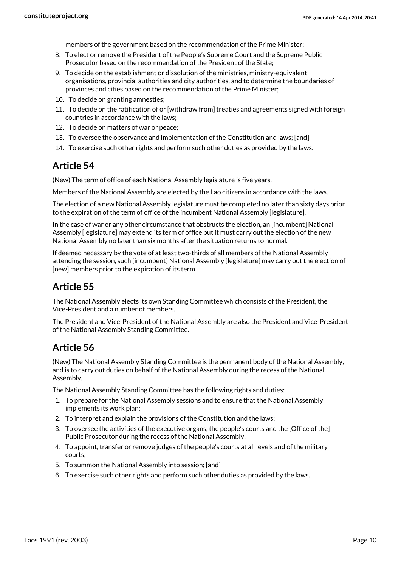members of the government based on the recommendation of the Prime Minister;

- 8. To elect or remove the President of the People's Supreme Court and the Supreme Public Prosecutor based on the recommendation of the President of the State;
- 9. To decide on the establishment or dissolution of the ministries, ministry-equivalent organisations, provincial authorities and city authorities, and to determine the boundaries of provinces and cities based on the recommendation of the Prime Minister;
- 10. To decide on granting amnesties;
- 11. To decide on the ratification of or [withdraw from] treaties and agreements signed with foreign countries in accordance with the laws;
- 12. To decide on matters of war or peace;
- 13. To oversee the observance and implementation of the Constitution and laws; [and]
- 14. To exercise such other rights and perform such other duties as provided by the laws.

#### **Article 54**

(New) The term of office of each National Assembly legislature is five years.

Members of the National Assembly are elected by the Lao citizens in accordance with the laws.

The election of a new National Assembly legislature must be completed no later than sixty days prior to the expiration of the term of office of the incumbent National Assembly [legislature].

In the case of war or any other circumstance that obstructs the election, an [incumbent] National Assembly [legislature] may extend its term of office but it must carry out the election of the new National Assembly no later than six months after the situation returns to normal.

If deemed necessary by the vote of at least two-thirds of all members of the National Assembly attending the session, such [incumbent] National Assembly [legislature] may carry out the election of [new] members prior to the expiration of its term.

#### **Article 55**

The National Assembly elects its own Standing Committee which consists of the President, the Vice-President and a number of members.

The President and Vice-President of the National Assembly are also the President and Vice-President of the National Assembly Standing Committee.

#### **Article 56**

(New) The National Assembly Standing Committee is the permanent body of the National Assembly, and is to carry out duties on behalf of the National Assembly during the recess of the National Assembly.

The National Assembly Standing Committee has the following rights and duties:

- 1. To prepare for the National Assembly sessions and to ensure that the National Assembly implements its work plan;
- 2. To interpret and explain the provisions of the Constitution and the laws;
- 3. To oversee the activities of the executive organs, the people's courts and the [Office of the] Public Prosecutor during the recess of the National Assembly;
- 4. To appoint, transfer or remove judges of the people's courts at all levels and of the military courts;
- 5. To summon the National Assembly into session; [and]
- 6. To exercise such other rights and perform such other duties as provided by the laws.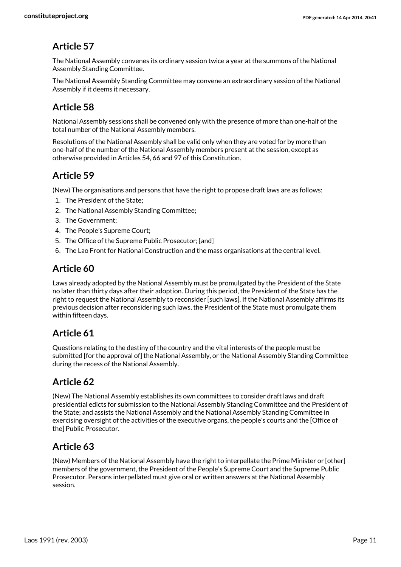The National Assembly convenes its ordinary session twice a year at the summons of the National Assembly Standing Committee.

The National Assembly Standing Committee may convene an extraordinary session of the National Assembly if it deems it necessary.

# **Article 58**

National Assembly sessions shall be convened only with the presence of more than one-half of the total number of the National Assembly members.

Resolutions of the National Assembly shall be valid only when they are voted for by more than one-half of the number of the National Assembly members present at the session, except as otherwise provided in Articles 54, 66 and 97 of this Constitution.

# **Article 59**

(New) The organisations and persons that have the right to propose draft laws are as follows:

- 1. The President of the State;
- 2. The National Assembly Standing Committee;
- 3. The Government;
- 4. The People's Supreme Court;
- 5. The Office of the Supreme Public Prosecutor; [and]
- 6. The Lao Front for National Construction and the mass organisations at the central level.

#### **Article 60**

Laws already adopted by the National Assembly must be promulgated by the President of the State no later than thirty days after their adoption. During this period, the President of the State has the right to request the National Assembly to reconsider [such laws]. If the National Assembly affirms its previous decision after reconsidering such laws, the President of the State must promulgate them within fifteen days.

#### **Article 61**

Questions relating to the destiny of the country and the vital interests of the people must be submitted [for the approval of] the National Assembly, or the National Assembly Standing Committee during the recess of the National Assembly.

# **Article 62**

(New) The National Assembly establishes its own committees to consider draft laws and draft presidential edicts for submission to the National Assembly Standing Committee and the President of the State; and assists the National Assembly and the National Assembly Standing Committee in exercising oversight of the activities of the executive organs, the people's courts and the [Office of the] Public Prosecutor.

#### **Article 63**

(New) Members of the National Assembly have the right to interpellate the Prime Minister or [other] members of the government, the President of the People's Supreme Court and the Supreme Public Prosecutor. Persons interpellated must give oral or written answers at the National Assembly session.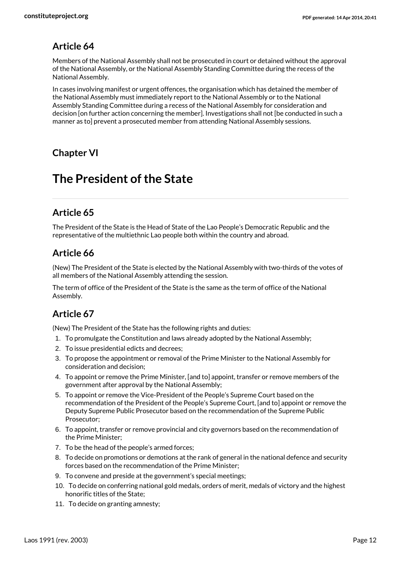Members of the National Assembly shall not be prosecuted in court or detained without the approval of the National Assembly, or the National Assembly Standing Committee during the recess of the National Assembly.

In cases involving manifest or urgent offences, the organisation which has detained the member of the National Assembly must immediately report to the National Assembly or to the National Assembly Standing Committee during a recess of the National Assembly for consideration and decision [on further action concerning the member]. Investigations shall not [be conducted in such a manner as to] prevent a prosecuted member from attending National Assembly sessions.

#### **Chapter VI**

# **The President of the State**

# **Article 65**

The President of the State is the Head of State of the Lao People's Democratic Republic and the representative of the multiethnic Lao people both within the country and abroad.

#### **Article 66**

(New) The President of the State is elected by the National Assembly with two-thirds of the votes of all members of the National Assembly attending the session.

The term of office of the President of the State is the same as the term of office of the National Assembly.

#### **Article 67**

(New) The President of the State has the following rights and duties:

- 1. To promulgate the Constitution and laws already adopted by the National Assembly;
- 2. To issue presidential edicts and decrees;
- 3. To propose the appointment or removal of the Prime Minister to the National Assembly for consideration and decision;
- 4. To appoint or remove the Prime Minister, [and to] appoint, transfer or remove members of the government after approval by the National Assembly;
- 5. To appoint or remove the Vice-President of the People's Supreme Court based on the recommendation of the President of the People's Supreme Court, [and to] appoint or remove the Deputy Supreme Public Prosecutor based on the recommendation of the Supreme Public Prosecutor;
- 6. To appoint, transfer or remove provincial and city governors based on the recommendation of the Prime Minister;
- 7. To be the head of the people's armed forces;
- 8. To decide on promotions or demotions at the rank of general in the national defence and security forces based on the recommendation of the Prime Minister;
- 9. To convene and preside at the government's special meetings;
- 10. To decide on conferring national gold medals, orders of merit, medals of victory and the highest honorific titles of the State;
- 11. To decide on granting amnesty;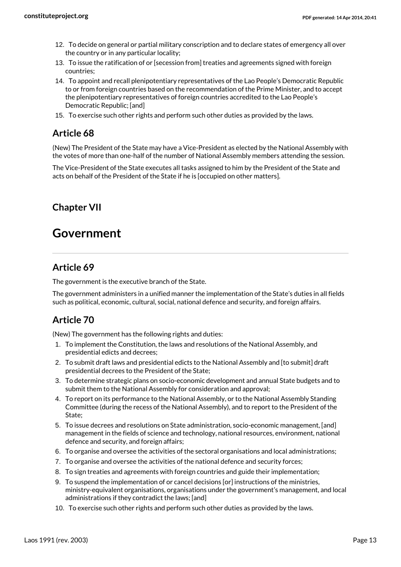- 12. To decide on general or partial military conscription and to declare states of emergency all over the country or in any particular locality;
- 13. To issue the ratification of or [secession from] treaties and agreements signed with foreign countries;
- 14. To appoint and recall plenipotentiary representatives of the Lao People's Democratic Republic to or from foreign countries based on the recommendation of the Prime Minister, and to accept the plenipotentiary representatives of foreign countries accredited to the Lao People's Democratic Republic; [and]
- 15. To exercise such other rights and perform such other duties as provided by the laws.

(New) The President of the State may have a Vice-President as elected by the National Assembly with the votes of more than one-half of the number of National Assembly members attending the session.

The Vice-President of the State executes all tasks assigned to him by the President of the State and acts on behalf of the President of the State if he is [occupied on other matters].

# **Chapter VII**

# **Government**

#### **Article 69**

The government is the executive branch of the State.

The government administers in a unified manner the implementation of the State's duties in all fields such as political, economic, cultural, social, national defence and security, and foreign affairs.

# **Article 70**

(New) The government has the following rights and duties:

- 1. To implement the Constitution, the laws and resolutions of the National Assembly, and presidential edicts and decrees;
- 2. To submit draft laws and presidential edicts to the National Assembly and [to submit] draft presidential decrees to the President of the State;
- 3. To determine strategic plans on socio-economic development and annual State budgets and to submit them to the National Assembly for consideration and approval;
- 4. To report on its performance to the National Assembly, or to the National Assembly Standing Committee (during the recess of the National Assembly), and to report to the President of the State;
- 5. To issue decrees and resolutions on State administration, socio-economic management, [and] management in the fields of science and technology, national resources, environment, national defence and security, and foreign affairs;
- 6. To organise and oversee the activities of the sectoral organisations and local administrations;
- 7. To organise and oversee the activities of the national defence and security forces;
- 8. To sign treaties and agreements with foreign countries and guide their implementation;
- 9. To suspend the implementation of or cancel decisions [or] instructions of the ministries, ministry-equivalent organisations, organisations under the government's management, and local administrations if they contradict the laws; [and]
- 10. To exercise such other rights and perform such other duties as provided by the laws.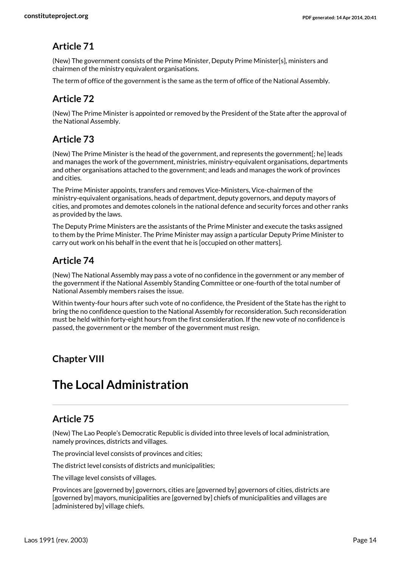(New) The government consists of the Prime Minister, Deputy Prime Minister[s], ministers and chairmen of the ministry equivalent organisations.

The term of office of the government is the same as the term of office of the National Assembly.

# **Article 72**

(New) The Prime Minister is appointed or removed by the President of the State after the approval of the National Assembly.

#### **Article 73**

(New) The Prime Minister is the head of the government, and represents the government[; he] leads and manages the work of the government, ministries, ministry-equivalent organisations, departments and other organisations attached to the government; and leads and manages the work of provinces and cities.

The Prime Minister appoints, transfers and removes Vice-Ministers, Vice-chairmen of the ministry-equivalent organisations, heads of department, deputy governors, and deputy mayors of cities, and promotes and demotes colonels in the national defence and security forces and other ranks as provided by the laws.

The Deputy Prime Ministers are the assistants of the Prime Minister and execute the tasks assigned to them by the Prime Minister. The Prime Minister may assign a particular Deputy Prime Minister to carry out work on his behalf in the event that he is [occupied on other matters].

# **Article 74**

(New) The National Assembly may pass a vote of no confidence in the government or any member of the government if the National Assembly Standing Committee or one-fourth of the total number of National Assembly members raises the issue.

Within twenty-four hours after such vote of no confidence, the President of the State has the right to bring the no confidence question to the National Assembly for reconsideration. Such reconsideration must be held within forty-eight hours from the first consideration. If the new vote of no confidence is passed, the government or the member of the government must resign.

# **Chapter VIII**

# **The Local Administration**

# **Article 75**

(New) The Lao People's Democratic Republic is divided into three levels of local administration, namely provinces, districts and villages.

The provincial level consists of provinces and cities;

The district level consists of districts and municipalities;

The village level consists of villages.

Provinces are [governed by] governors, cities are [governed by] governors of cities, districts are [governed by] mayors, municipalities are [governed by] chiefs of municipalities and villages are [administered by] village chiefs.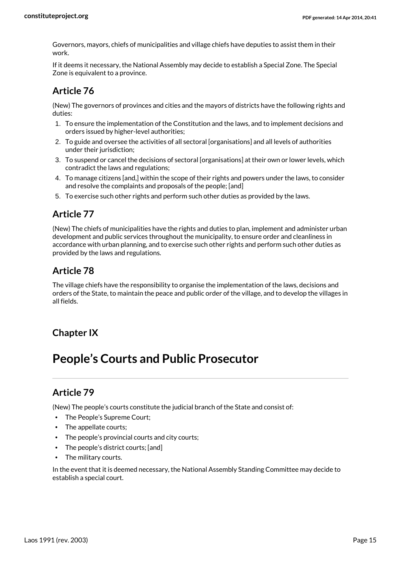Governors, mayors, chiefs of municipalities and village chiefs have deputies to assist them in their work.

If it deems it necessary, the National Assembly may decide to establish a Special Zone. The Special Zone is equivalent to a province.

# **Article 76**

(New) The governors of provinces and cities and the mayors of districts have the following rights and duties:

- 1. To ensure the implementation of the Constitution and the laws, and to implement decisions and orders issued by higher-level authorities;
- 2. To guide and oversee the activities of all sectoral [organisations] and all levels of authorities under their jurisdiction;
- 3. To suspend or cancel the decisions of sectoral [organisations] at their own or lower levels, which contradict the laws and regulations;
- 4. To manage citizens [and,] within the scope of their rights and powers under the laws, to consider and resolve the complaints and proposals of the people; [and]
- 5. To exercise such other rights and perform such other duties as provided by the laws.

# **Article 77**

(New) The chiefs of municipalities have the rights and duties to plan, implement and administer urban development and public services throughout the municipality, to ensure order and cleanliness in accordance with urban planning, and to exercise such other rights and perform such other duties as provided by the laws and regulations.

# **Article 78**

The village chiefs have the responsibility to organise the implementation of the laws, decisions and orders of the State, to maintain the peace and public order of the village, and to develop the villages in all fields.

# **Chapter IX**

# **People's Courts and Public Prosecutor**

# **Article 79**

(New) The people's courts constitute the judicial branch of the State and consist of:

- The People's Supreme Court;
- The appellate courts:
- The people's provincial courts and city courts;
- The people's district courts; [and]
- The military courts.

In the event that it is deemed necessary, the National Assembly Standing Committee may decide to establish a special court.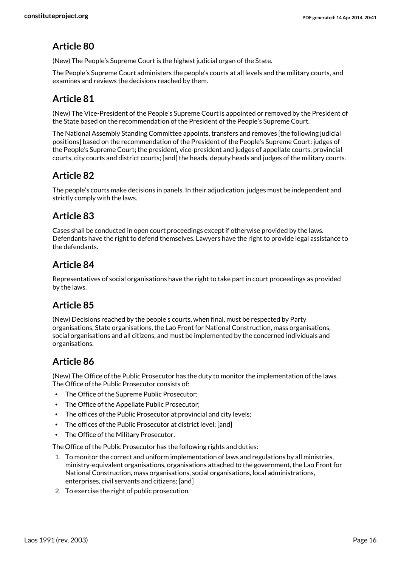(New) The People's Supreme Court is the highest judicial organ of the State.

The People's Supreme Court administers the people's courts at all levels and the military courts, and examines and reviews the decisions reached by them.

# **Article 81**

(New) The Vice-President of the People's Supreme Court is appointed or removed by the President of the State based on the recommendation of the President of the People's Supreme Court.

The National Assembly Standing Committee appoints, transfers and removes [the following judicial positions] based on the recommendation of the President of the People's Supreme Court: judges of the People's Supreme Court; the president, vice-president and judges of appellate courts, provincial courts, city courts and district courts; [and] the heads, deputy heads and judges of the military courts.

# **Article 82**

The people's courts make decisions in panels. In their adjudication, judges must be independent and strictly comply with the laws.

#### **Article 83**

Cases shall be conducted in open court proceedings except if otherwise provided by the laws. Defendants have the right to defend themselves. Lawyers have the right to provide legal assistance to the defendants.

# **Article 84**

Representatives of social organisations have the right to take part in court proceedings as provided by the laws.

# **Article 85**

(New) Decisions reached by the people's courts, when final, must be respected by Party organisations, State organisations, the Lao Front for National Construction, mass organisations, social organisations and all citizens, and must be implemented by the concerned individuals and organisations.

# **Article 86**

(New) The Office of the Public Prosecutor has the duty to monitor the implementation of the laws. The Office of the Public Prosecutor consists of:

- The Office of the Supreme Public Prosecutor;
- The Office of the Appellate Public Prosecutor;
- The offices of the Public Prosecutor at provincial and city levels;
- The offices of the Public Prosecutor at district level; [and]
- The Office of the Military Prosecutor.

The Office of the Public Prosecutor has the following rights and duties:

- 1. To monitor the correct and uniform implementation of laws and regulations by all ministries, ministry-equivalent organisations, organisations attached to the government, the Lao Front for National Construction, mass organisations, social organisations, local administrations, enterprises, civil servants and citizens; [and]
- 2. To exercise the right of public prosecution.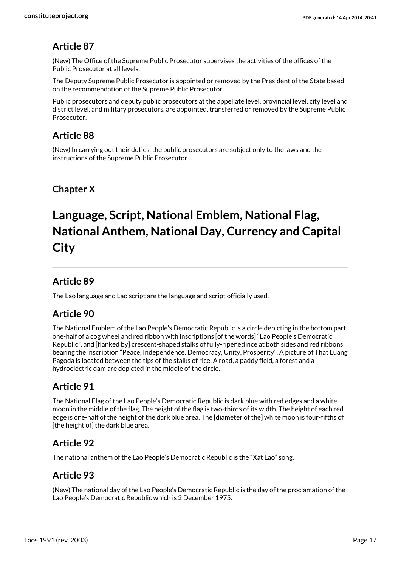(New) The Office of the Supreme Public Prosecutor supervises the activities of the offices of the Public Prosecutor at all levels.

The Deputy Supreme Public Prosecutor is appointed or removed by the President of the State based on the recommendation of the Supreme Public Prosecutor.

Public prosecutors and deputy public prosecutors at the appellate level, provincial level, city level and district level, and military prosecutors, are appointed, transferred or removed by the Supreme Public Prosecutor.

#### **Article 88**

(New) In carrying out their duties, the public prosecutors are subject only to the laws and the instructions of the Supreme Public Prosecutor.

# **Chapter X**

# **Language, Script, National Emblem, National Flag, National Anthem, National Day, Currency and Capital City**

#### **Article 89**

The Lao language and Lao script are the language and script officially used.

#### **Article 90**

The National Emblem of the Lao People's Democratic Republic is a circle depicting in the bottom part one-half of a cog wheel and red ribbon with inscriptions [of the words] "Lao People's Democratic Republic", and [flanked by] crescent-shaped stalks of fully-ripened rice at both sides and red ribbons bearing the inscription "Peace, Independence, Democracy, Unity, Prosperity". A picture of That Luang Pagoda is located between the tips of the stalks of rice. A road, a paddy field, a forest and a hydroelectric dam are depicted in the middle of the circle.

#### **Article 91**

The National Flag of the Lao People's Democratic Republic is dark blue with red edges and a white moon in the middle of the flag. The height of the flag is two-thirds of its width. The height of each red edge is one-half of the height of the dark blue area. The [diameter of the] white moon is four-fifths of [the height of] the dark blue area.

#### **Article 92**

The national anthem of the Lao People's Democratic Republic is the "Xat Lao" song.

#### **Article 93**

(New) The national day of the Lao People's Democratic Republic is the day of the proclamation of the Lao People's Democratic Republic which is 2 December 1975.